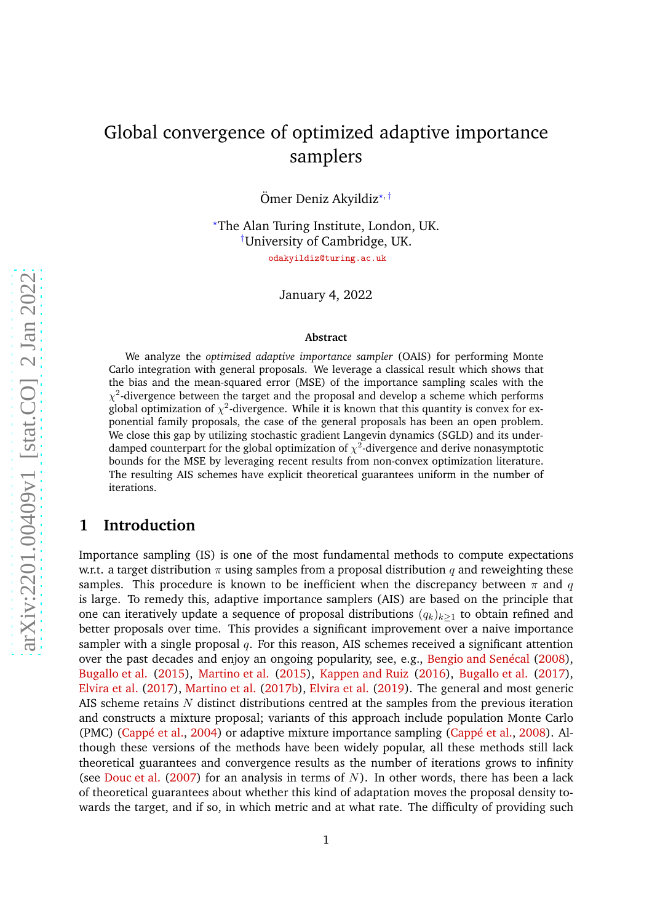# Global convergence of optimized adaptive importance samplers

Ömer Deniz Akyildiz<sup>\*, †</sup>

<sup>⋆</sup>The Alan Turing Institute, London, UK. †University of Cambridge, UK.

odakyildiz@turing.ac.uk

January 4, 2022

#### **Abstract**

We analyze the *optimized adaptive importance sampler* (OAIS) for performing Monte Carlo integration with general proposals. We leverage a classical result which shows that the bias and the mean-squared error (MSE) of the importance sampling scales with the  $\chi^2$ -divergence between the target and the proposal and develop a scheme which performs global optimization of  $\chi^2$ -divergence. While it is known that this quantity is convex for exponential family proposals, the case of the general proposals has been an open problem. We close this gap by utilizing stochastic gradient Langevin dynamics (SGLD) and its underdamped counterpart for the global optimization of  $\chi^2$ -divergence and derive nonasymptotic bounds for the MSE by leveraging recent results from non-convex optimization literature. The resulting AIS schemes have explicit theoretical guarantees uniform in the number of iterations.

# **1 Introduction**

Importance sampling (IS) is one of the most fundamental methods to compute expectations w.r.t. a target distribution  $\pi$  using samples from a proposal distribution q and reweighting these samples. This procedure is known to be inefficient when the discrepancy between  $\pi$  and q is large. To remedy this, adaptive importance samplers (AIS) are based on the principle that one can iteratively update a sequence of proposal distributions  $(q_k)_{k>1}$  to obtain refined and better proposals over time. This provides a significant improvement over a naive importance sampler with a single proposal  $q$ . For this reason, AIS schemes received a significant attention over the past decades and enjoy an ongoing popularity, see, e.g., [Bengio and Senécal](#page-12-0) [\(2008\)](#page-12-0), [Bugallo et al.](#page-12-1) [\(2015\)](#page-12-1), [Martino et al.](#page-14-0) [\(2015\)](#page-14-0), [Kappen and Ruiz](#page-13-0) [\(2016\)](#page-13-0), [Bugallo et al.](#page-12-2) [\(2017\)](#page-12-2), [Elvira et al.](#page-13-1) [\(2017\)](#page-13-1), [Martino et al.](#page-14-1) [\(2017b\)](#page-14-1), [Elvira et al.](#page-13-2) [\(2019](#page-13-2)). The general and most generic AIS scheme retains N distinct distributions centred at the samples from the previous iteration and constructs a mixture proposal; variants of this approach include population Monte Carlo (PMC) [\(Cappé et al.,](#page-13-3) [2004](#page-13-3)) or adaptive mixture importance sampling [\(Cappé et al.,](#page-13-4) [2008](#page-13-4)). Although these versions of the methods have been widely popular, all these methods still lack theoretical guarantees and convergence results as the number of iterations grows to infinity (see [Douc et al.](#page-13-5) [\(2007](#page-13-5)) for an analysis in terms of N). In other words, there has been a lack of theoretical guarantees about whether this kind of adaptation moves the proposal density towards the target, and if so, in which metric and at what rate. The difficulty of providing such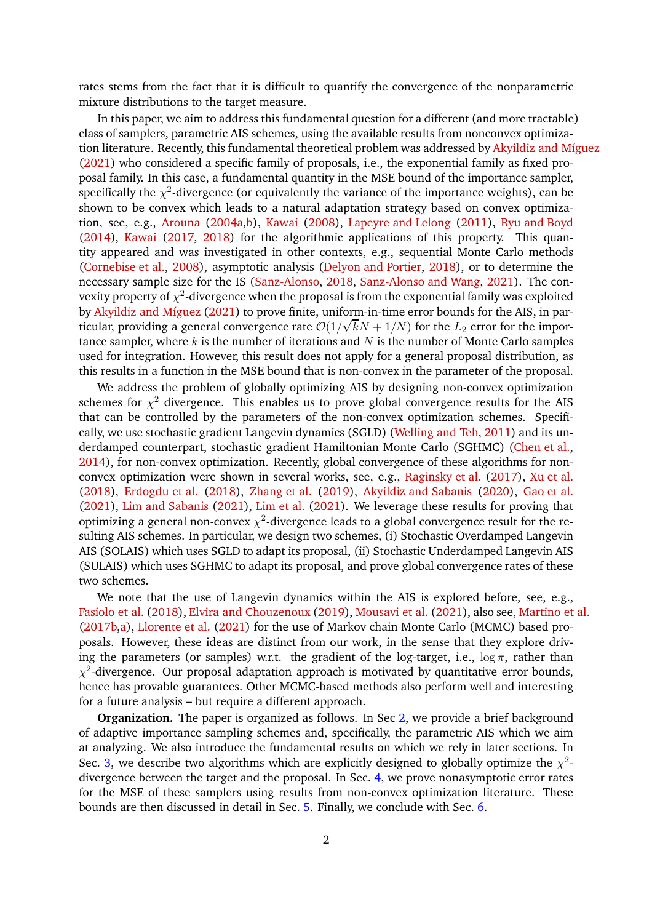rates stems from the fact that it is difficult to quantify the convergence of the nonparametric mixture distributions to the target measure.

In this paper, we aim to address this fundamental question for a different (and more tractable) class of samplers, parametric AIS schemes, using the available results from nonconvex optimization literature. Recently, this fundamental theoretical problem was addressed by [Akyildiz and Míguez](#page-12-3) [\(2021\)](#page-12-3) who considered a specific family of proposals, i.e., the exponential family as fixed proposal family. In this case, a fundamental quantity in the MSE bound of the importance sampler, specifically the  $\chi^2$ -divergence (or equivalently the variance of the importance weights), can be shown to be convex which leads to a natural adaptation strategy based on convex optimization, see, e.g., [Arouna](#page-12-4) [\(2004a](#page-12-4)[,b\)](#page-12-5), [Kawai](#page-13-6) [\(2008\)](#page-13-6), [Lapeyre and Lelong](#page-14-2) [\(2011\)](#page-14-2), [Ryu and Boyd](#page-14-3) [\(2014\)](#page-14-3), [Kawai](#page-14-4) [\(2017](#page-14-4), [2018\)](#page-14-5) for the algorithmic applications of this property. This quantity appeared and was investigated in other contexts, e.g., sequential Monte Carlo methods [\(Cornebise et al.](#page-13-7), [2008\)](#page-13-7), asymptotic analysis [\(Delyon and Portier,](#page-13-8) [2018](#page-13-8)), or to determine the necessary sample size for the IS [\(Sanz-Alonso](#page-14-6), [2018](#page-14-6), [Sanz-Alonso and Wang](#page-15-0), [2021\)](#page-15-0). The convexity property of  $\chi^2$ -divergence when the proposal is from the exponential family was exploited by [Akyildiz and Míguez](#page-12-3) [\(2021\)](#page-12-3) to prove finite, uniform-in-time error bounds for the AIS, in particular, providing a general convergence rate  $O(1/\sqrt{k}N + 1/N)$  for the  $L_2$  error for the importance sampler, where  $k$  is the number of iterations and  $N$  is the number of Monte Carlo samples used for integration. However, this result does not apply for a general proposal distribution, as this results in a function in the MSE bound that is non-convex in the parameter of the proposal.

We address the problem of globally optimizing AIS by designing non-convex optimization schemes for  $\chi^2$  divergence. This enables us to prove global convergence results for the AIS that can be controlled by the parameters of the non-convex optimization schemes. Specifically, we use stochastic gradient Langevin dynamics (SGLD) [\(Welling and Teh,](#page-15-1) [2011\)](#page-15-1) and its underdamped counterpart, stochastic gradient Hamiltonian Monte Carlo (SGHMC) [\(Chen et al.](#page-13-9), [2014](#page-13-9)), for non-convex optimization. Recently, global convergence of these algorithms for nonconvex optimization were shown in several works, see, e.g., [Raginsky et al.](#page-14-7) [\(2017](#page-14-7)), [Xu et al.](#page-15-2) [\(2018\)](#page-15-2), [Erdogdu et al.](#page-13-10) [\(2018](#page-13-10)), [Zhang et al.](#page-15-3) [\(2019\)](#page-15-3), [Akyildiz and Sabanis](#page-12-6) [\(2020\)](#page-12-6), [Gao et al.](#page-13-11) [\(2021\)](#page-13-11), [Lim and Sabanis](#page-14-8) [\(2021\)](#page-14-8), [Lim et al.](#page-14-9) [\(2021\)](#page-14-9). We leverage these results for proving that optimizing a general non-convex  $\chi^2$ -divergence leads to a global convergence result for the resulting AIS schemes. In particular, we design two schemes, (i) Stochastic Overdamped Langevin AIS (SOLAIS) which uses SGLD to adapt its proposal, (ii) Stochastic Underdamped Langevin AIS (SULAIS) which uses SGHMC to adapt its proposal, and prove global convergence rates of these two schemes.

We note that the use of Langevin dynamics within the AIS is explored before, see, e.g., [Fasiolo et al.](#page-13-12) [\(2018\)](#page-13-12), [Elvira and Chouzenoux](#page-13-13) [\(2019\)](#page-13-13), [Mousavi et al.](#page-14-10) [\(2021](#page-14-10)), also see, [Martino et al.](#page-14-1) [\(2017b](#page-14-1)[,a](#page-14-11)), [Llorente et al.](#page-14-12) [\(2021\)](#page-14-12) for the use of Markov chain Monte Carlo (MCMC) based proposals. However, these ideas are distinct from our work, in the sense that they explore driving the parameters (or samples) w.r.t. the gradient of the log-target, i.e.,  $\log \pi$ , rather than  $\chi^2$ -divergence. Our proposal adaptation approach is motivated by quantitative error bounds, hence has provable guarantees. Other MCMC-based methods also perform well and interesting for a future analysis – but require a different approach.

**Organization.** The paper is organized as follows. In Sec [2,](#page-2-0) we provide a brief background of adaptive importance sampling schemes and, specifically, the parametric AIS which we aim at analyzing. We also introduce the fundamental results on which we rely in later sections. In Sec. [3,](#page-6-0) we describe two algorithms which are explicitly designed to globally optimize the  $\chi^2$ divergence between the target and the proposal. In Sec. [4,](#page-7-0) we prove nonasymptotic error rates for the MSE of these samplers using results from non-convex optimization literature. These bounds are then discussed in detail in Sec. [5.](#page-11-0) Finally, we conclude with Sec. [6.](#page-11-1)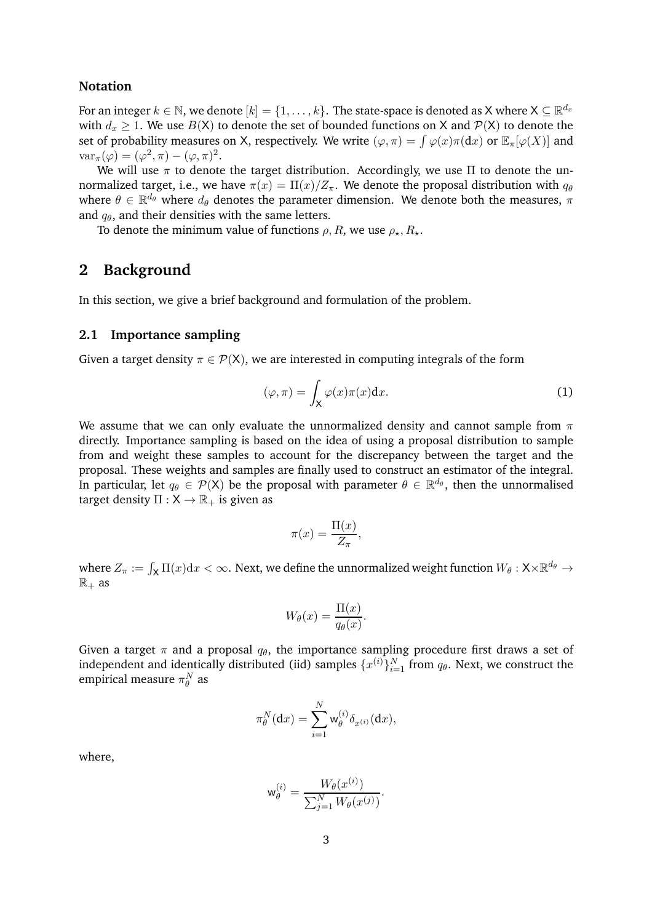### **Notation**

For an integer  $k \in \mathbb{N}$ , we denote  $[k] = \{1, \ldots, k\}$ . The state-space is denoted as X where  $\mathsf{X} \subseteq \mathbb{R}^{d_x}$ with  $d_x \geq 1$ . We use  $B(X)$  to denote the set of bounded functions on X and  $P(X)$  to denote the set of probability measures on X, respectively. We write  $(\varphi, \pi) = \int \varphi(x) \pi(\mathrm{d}x)$  or  $\mathbb{E}_{\pi}[\varphi(X)]$  and  $\text{var}_{\pi}(\varphi) = (\varphi^2, \pi) - (\varphi, \pi)^2.$ 

We will use  $\pi$  to denote the target distribution. Accordingly, we use  $\Pi$  to denote the unnormalized target, i.e., we have  $\pi(x) = \Pi(x)/Z_{\pi}$ . We denote the proposal distribution with  $q_{\theta}$ where  $\theta \in \mathbb{R}^{d_{\theta}}$  where  $d_{\theta}$  denotes the parameter dimension. We denote both the measures,  $\pi$ and  $q_{\theta}$ , and their densities with the same letters.

To denote the minimum value of functions  $\rho$ , R, we use  $\rho_{\star}$ ,  $R_{\star}$ .

### <span id="page-2-0"></span>**2 Background**

In this section, we give a brief background and formulation of the problem.

### **2.1 Importance sampling**

Given a target density  $\pi \in \mathcal{P}(X)$ , we are interested in computing integrals of the form

<span id="page-2-1"></span>
$$
(\varphi, \pi) = \int_{\mathsf{X}} \varphi(x)\pi(x) \mathrm{d}x. \tag{1}
$$

We assume that we can only evaluate the unnormalized density and cannot sample from  $\pi$ directly. Importance sampling is based on the idea of using a proposal distribution to sample from and weight these samples to account for the discrepancy between the target and the proposal. These weights and samples are finally used to construct an estimator of the integral. In particular, let  $q_\theta \in \mathcal{P}(\mathsf{X})$  be the proposal with parameter  $\theta \in \mathbb{R}^{d_\theta}$ , then the unnormalised target density  $\Pi : X \to \mathbb{R}_+$  is given as

$$
\pi(x) = \frac{\Pi(x)}{Z_{\pi}},
$$

where  $Z_\pi:=\int_{\mathsf{X}}\Pi(x)\mathrm{d} x<\infty.$  Next, we define the unnormalized weight function  $W_\theta:\mathsf{X}\times\mathbb{R}^{d_\theta}\to$  $\mathbb{R}_+$  as

$$
W_{\theta}(x) = \frac{\Pi(x)}{q_{\theta}(x)}.
$$

Given a target  $\pi$  and a proposal  $q_{\theta}$ , the importance sampling procedure first draws a set of independent and identically distributed (iid) samples  $\{x^{(i)}\}_{i=1}^N$  from  $q_\theta$ . Next, we construct the empirical measure  $\pi^N_{\theta}$  as

$$
\pi_{\theta}^N(\mathrm{d}x) = \sum_{i=1}^N \mathsf{w}_{\theta}^{(i)} \delta_{x^{(i)}}(\mathrm{d}x),
$$

where,

$$
\mathbf{w}_{\theta}^{(i)} = \frac{W_{\theta}(x^{(i)})}{\sum_{j=1}^{N} W_{\theta}(x^{(j)})}.
$$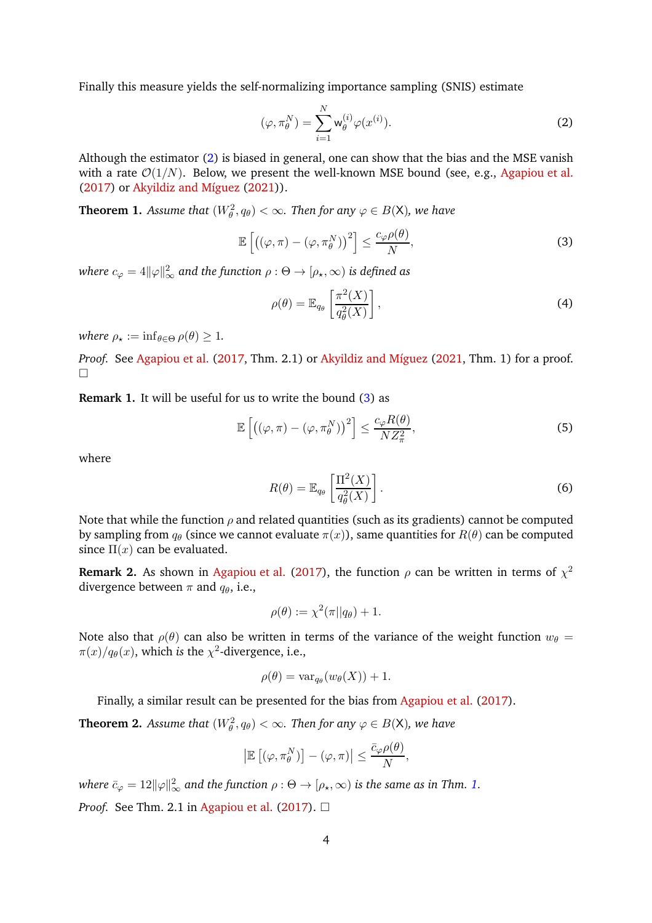Finally this measure yields the self-normalizing importance sampling (SNIS) estimate

<span id="page-3-0"></span>
$$
(\varphi, \pi_{\theta}^{N}) = \sum_{i=1}^{N} \mathsf{w}_{\theta}^{(i)} \varphi(x^{(i)}).
$$
 (2)

Although the estimator [\(2\)](#page-3-0) is biased in general, one can show that the bias and the MSE vanish with a rate  $\mathcal{O}(1/N)$ . Below, we present the well-known MSE bound (see, e.g., [Agapiou et al.](#page-12-7) [\(2017\)](#page-12-7) or [Akyildiz and Míguez](#page-12-3) [\(2021\)](#page-12-3)).

<span id="page-3-2"></span>**Theorem 1.** Assume that  $(W_\theta^2, q_\theta) < \infty$ . Then for any  $\varphi \in B(\mathsf{X})$ , we have

$$
\mathbb{E}\left[\left((\varphi,\pi)-(\varphi,\pi_{\theta}^{N})\right)^{2}\right] \leq \frac{c_{\varphi}\rho(\theta)}{N},\tag{3}
$$

where  $c_\varphi = 4 \|\varphi\|_\infty^2$  and the function  $\rho : \Theta \to [\rho_\star, \infty)$  is defined as

<span id="page-3-3"></span><span id="page-3-1"></span>
$$
\rho(\theta) = \mathbb{E}_{q_{\theta}} \left[ \frac{\pi^2(X)}{q_{\theta}^2(X)} \right],
$$
\n(4)

*where*  $\rho_{\star} := \inf_{\theta \in \Theta} \rho(\theta) \geq 1$ .

*Proof.* See [Agapiou et al.](#page-12-7) [\(2017,](#page-12-7) Thm. 2.1) or [Akyildiz and Míguez](#page-12-3) [\(2021](#page-12-3), Thm. 1) for a proof.  $\Box$ 

**Remark 1.** It will be useful for us to write the bound [\(3\)](#page-3-1) as

$$
\mathbb{E}\left[\left((\varphi,\pi)-(\varphi,\pi_{\theta}^{N})\right)^{2}\right] \leq \frac{c_{\varphi}R(\theta)}{NZ_{\pi}^{2}},\tag{5}
$$

where

<span id="page-3-4"></span>
$$
R(\theta) = \mathbb{E}_{q_{\theta}} \left[ \frac{\Pi^2(X)}{q_{\theta}^2(X)} \right].
$$
 (6)

Note that while the function  $\rho$  and related quantities (such as its gradients) cannot be computed by sampling from  $q_{\theta}$  (since we cannot evaluate  $\pi(x)$ ), same quantities for  $R(\theta)$  can be computed since  $\Pi(x)$  can be evaluated.

**Remark 2.** As shown in [Agapiou et al.](#page-12-7) [\(2017\)](#page-12-7), the function  $\rho$  can be written in terms of  $\chi^2$ divergence between  $\pi$  and  $q_{\theta}$ , i.e.,

$$
\rho(\theta) := \chi^2(\pi || q_\theta) + 1.
$$

Note also that  $\rho(\theta)$  can also be written in terms of the variance of the weight function  $w_{\theta} =$  $\pi(x)/q_\theta(x)$ , which *is* the  $\chi^2$ -divergence, i.e.,

$$
\rho(\theta) = \text{var}_{q_{\theta}}(w_{\theta}(X)) + 1.
$$

Finally, a similar result can be presented for the bias from [Agapiou et al.](#page-12-7) [\(2017\)](#page-12-7).

**Theorem 2.** Assume that  $(W_\theta^2, q_\theta) < \infty$ . Then for any  $\varphi \in B(\mathsf{X})$ , we have

$$
\left|\mathbb{E}\left[\left(\varphi,\pi_{\theta}^{N}\right)\right]-\left(\varphi,\pi\right)\right|\leq \frac{\bar{c}_{\varphi}\rho(\theta)}{N},
$$

where  $\bar{c}_{\varphi} = 12 \|\varphi\|_{\infty}^2$  and the function  $\rho : \Theta \to [\rho_\star, \infty)$  is the same as in Thm. [1.](#page-3-2) *Proof.* See Thm. 2.1 in [Agapiou et al.](#page-12-7) [\(2017](#page-12-7)).  $\Box$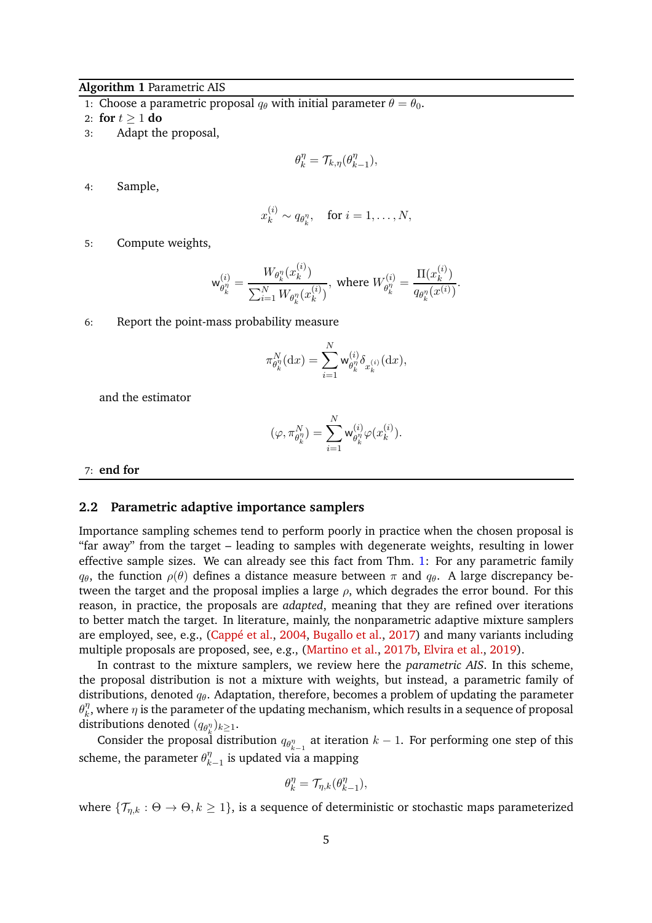### <span id="page-4-0"></span>**Algorithm 1** Parametric AIS

1: Choose a parametric proposal  $q_\theta$  with initial parameter  $\theta = \theta_0$ .

2: **for**  $t \ge 1$  **do**<br>3: Adapt the

Adapt the proposal,

$$
\theta_k^{\eta} = \mathcal{T}_{k,\eta}(\theta_{k-1}^{\eta}),
$$

4: Sample,

$$
x_k^{(i)} \sim q_{\theta_k^n}, \quad \text{for } i = 1, \dots, N,
$$

5: Compute weights,

$$
\mathsf{w}_{\theta_k^{\eta}}^{(i)} = \frac{W_{\theta_k^{\eta}}(x_k^{(i)})}{\sum_{i=1}^N W_{\theta_k^{\eta}}(x_k^{(i)})}, \text{ where } W_{\theta_k^{\eta}}^{(i)} = \frac{\Pi(x_k^{(i)})}{q_{\theta_k^{\eta}}(x^{(i)})}.
$$

6: Report the point-mass probability measure

$$
\pi_{\theta_k^{\eta}}^N(\mathrm{d}x) = \sum_{i=1}^N \mathsf{w}_{\theta_k^{\eta}}^{(i)} \delta_{x_k^{(i)}}(\mathrm{d}x),
$$

and the estimator

$$
(\varphi,\pi_{\theta_k^{\eta}}^N)=\sum_{i=1}^N \mathsf{w}_{\theta_k^{\eta}}^{(i)}\varphi(x_k^{(i)}).
$$

7: **end for**

#### **2.2 Parametric adaptive importance samplers**

Importance sampling schemes tend to perform poorly in practice when the chosen proposal is "far away" from the target – leading to samples with degenerate weights, resulting in lower effective sample sizes. We can already see this fact from Thm. [1:](#page-3-2) For any parametric family  $q_{\theta}$ , the function  $\rho(\theta)$  defines a distance measure between  $\pi$  and  $q_{\theta}$ . A large discrepancy between the target and the proposal implies a large  $\rho$ , which degrades the error bound. For this reason, in practice, the proposals are *adapted*, meaning that they are refined over iterations to better match the target. In literature, mainly, the nonparametric adaptive mixture samplers are employed, see, e.g., [\(Cappé et al.](#page-13-3), [2004,](#page-13-3) [Bugallo et al.,](#page-12-2) [2017](#page-12-2)) and many variants including multiple proposals are proposed, see, e.g., [\(Martino et al.,](#page-14-1) [2017b,](#page-14-1) [Elvira et al.](#page-13-2), [2019](#page-13-2)).

In contrast to the mixture samplers, we review here the *parametric AIS*. In this scheme, the proposal distribution is not a mixture with weights, but instead, a parametric family of distributions, denoted  $q_{\theta}$ . Adaptation, therefore, becomes a problem of updating the parameter  $\theta_k^{\eta}$  $\eta_{k}^{\eta}$ , where  $\eta$  is the parameter of the updating mechanism, which results in a sequence of proposal distributions denoted  $(q_{\theta_k^{\eta}})_{k\geq 1}$ .

Consider the proposal distribution  $q_{\theta_{k-1}^{\eta}}$  at iteration  $k-1$ . For performing one step of this scheme, the parameter  $\theta_k^{\eta}$  $\frac{\eta}{k-1}$  is updated via a mapping

$$
\theta_k^{\eta} = \mathcal{T}_{\eta,k}(\theta_{k-1}^{\eta}),
$$

where  $\{\mathcal{T}_{n,k} : \Theta \to \Theta, k \geq 1\}$ , is a sequence of deterministic or stochastic maps parameterized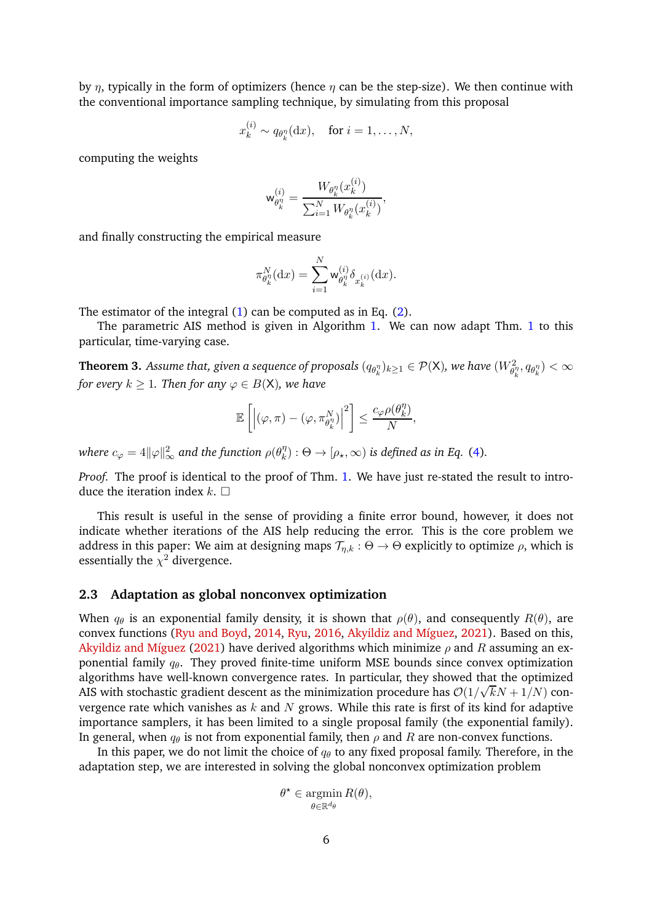by  $\eta$ , typically in the form of optimizers (hence  $\eta$  can be the step-size). We then continue with the conventional importance sampling technique, by simulating from this proposal

$$
x_k^{(i)} \sim q_{\theta_k^{\eta}}(\mathrm{d}x), \quad \text{for } i = 1, \dots, N,
$$

computing the weights

$$
\mathsf{w}_{\theta_k^{\eta}}^{(i)} = \frac{W_{\theta_k^{\eta}}(x_k^{(i)})}{\sum_{i=1}^N W_{\theta_k^{\eta}}(x_k^{(i)})},
$$

and finally constructing the empirical measure

$$
\pi_{\theta_k^{\eta}}^N(\mathrm{d}x) = \sum_{i=1}^N \mathsf{w}_{\theta_k^{\eta}}^{(i)} \delta_{x_k^{(i)}}(\mathrm{d}x).
$$

The estimator of the integral [\(1\)](#page-2-1) can be computed as in Eq. [\(2\)](#page-3-0).

<span id="page-5-0"></span>The parametric AIS method is given in Algorithm [1.](#page-4-0) We can now adapt Thm. [1](#page-3-2) to this particular, time-varying case.

**Theorem 3.** Assume that, given a sequence of proposals  $(q_{\theta_k^n})_{k\geq 1}\in \mathcal{P}(\mathsf{X}),$  we have  $(W^2_{\theta_k^n},q_{\theta_k^n})<\infty$ *for every*  $k \geq 1$ *. Then for any*  $\varphi \in B(\mathsf{X})$ *, we have* 

$$
\mathbb{E}\left[\left|\left(\varphi,\pi\right)-\left(\varphi,\pi_{\theta_k^{\eta}}^N\right)\right|^2\right]\leq \frac{c_\varphi\rho(\theta_k^{\eta})}{N},
$$

where  $c_{\varphi}=4\|\varphi\|_{\infty}^{2}$  and the function  $\rho(\theta_{k}^{\eta}% )$  $\binom{n}{k}$ :  $\Theta \rightarrow [\rho_\star, \infty)$  is defined as in Eq. [\(4\)](#page-3-3).

*Proof.* The proof is identical to the proof of Thm. [1.](#page-3-2) We have just re-stated the result to introduce the iteration index  $k$ .  $\Box$ 

This result is useful in the sense of providing a finite error bound, however, it does not indicate whether iterations of the AIS help reducing the error. This is the core problem we address in this paper: We aim at designing maps  $\mathcal{T}_{n,k}$  :  $\Theta \to \Theta$  explicitly to optimize  $\rho$ , which is essentially the  $\chi^2$  divergence.

### **2.3 Adaptation as global nonconvex optimization**

When  $q_{\theta}$  is an exponential family density, it is shown that  $\rho(\theta)$ , and consequently  $R(\theta)$ , are convex functions [\(Ryu and Boyd](#page-14-3), [2014,](#page-14-3) [Ryu,](#page-14-13) [2016](#page-14-13), [Akyildiz and Míguez,](#page-12-3) [2021](#page-12-3)). Based on this, [Akyildiz and Míguez](#page-12-3) [\(2021](#page-12-3)) have derived algorithms which minimize  $\rho$  and R assuming an exponential family  $q_{\theta}$ . They proved finite-time uniform MSE bounds since convex optimization algorithms have well-known convergence rates. In particular, they showed that the optimized AIS with stochastic gradient descent as the minimization procedure has  $O(1/\sqrt{k}N + 1/N)$  convergence rate which vanishes as  $k$  and  $N$  grows. While this rate is first of its kind for adaptive importance samplers, it has been limited to a single proposal family (the exponential family). In general, when  $q_{\theta}$  is not from exponential family, then  $\rho$  and R are non-convex functions.

In this paper, we do not limit the choice of  $q_\theta$  to any fixed proposal family. Therefore, in the adaptation step, we are interested in solving the global nonconvex optimization problem

$$
\theta^* \in \operatorname*{argmin}_{\theta \in \mathbb{R}^{d_{\theta}}} R(\theta),
$$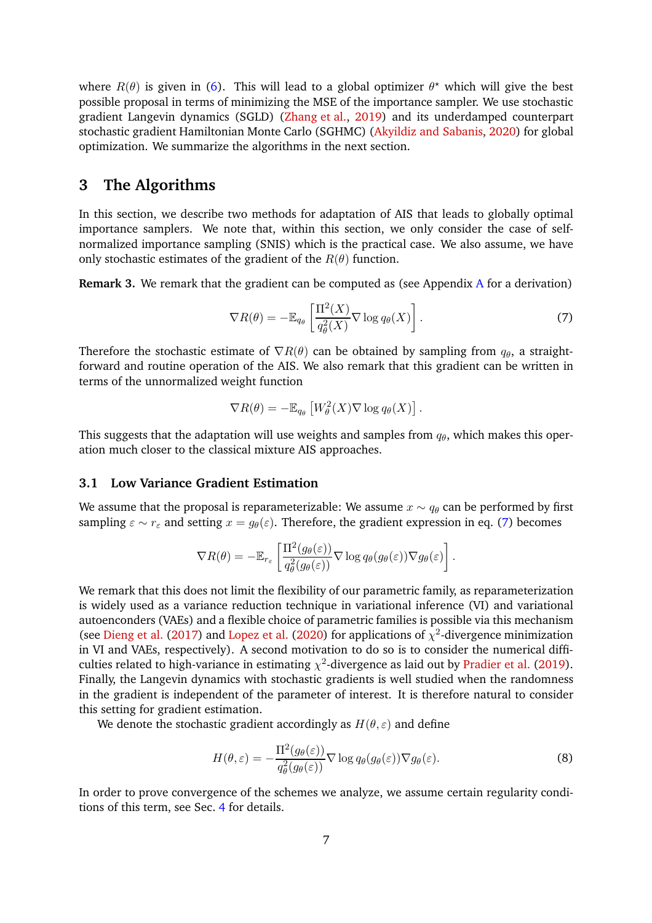where  $R(\theta)$  is given in [\(6\)](#page-3-4). This will lead to a global optimizer  $\theta^*$  which will give the best possible proposal in terms of minimizing the MSE of the importance sampler. We use stochastic gradient Langevin dynamics (SGLD) [\(Zhang et al.](#page-15-3), [2019](#page-15-3)) and its underdamped counterpart stochastic gradient Hamiltonian Monte Carlo (SGHMC) [\(Akyildiz and Sabanis,](#page-12-6) [2020\)](#page-12-6) for global optimization. We summarize the algorithms in the next section.

### <span id="page-6-0"></span>**3 The Algorithms**

In this section, we describe two methods for adaptation of AIS that leads to globally optimal importance samplers. We note that, within this section, we only consider the case of selfnormalized importance sampling (SNIS) which is the practical case. We also assume, we have only stochastic estimates of the gradient of the  $R(\theta)$  function.

**Remark 3.** We remark that the gradient can be computed as (see Appendix [A](#page-12-8) for a derivation)

<span id="page-6-1"></span>
$$
\nabla R(\theta) = -\mathbb{E}_{q_{\theta}} \left[ \frac{\Pi^2(X)}{q_{\theta}^2(X)} \nabla \log q_{\theta}(X) \right]. \tag{7}
$$

Therefore the stochastic estimate of  $\nabla R(\theta)$  can be obtained by sampling from  $q_{\theta}$ , a straightforward and routine operation of the AIS. We also remark that this gradient can be written in terms of the unnormalized weight function

$$
\nabla R(\theta) = -\mathbb{E}_{q_{\theta}} \left[ W_{\theta}^2(X) \nabla \log q_{\theta}(X) \right].
$$

This suggests that the adaptation will use weights and samples from  $q_{\theta}$ , which makes this operation much closer to the classical mixture AIS approaches.

### **3.1 Low Variance Gradient Estimation**

We assume that the proposal is reparameterizable: We assume  $x \sim q_\theta$  can be performed by first sampling  $\varepsilon \sim r_{\varepsilon}$  and setting  $x = g_{\theta}(\varepsilon)$ . Therefore, the gradient expression in eq. [\(7\)](#page-6-1) becomes

$$
\nabla R(\theta) = -\mathbb{E}_{r_{\varepsilon}} \left[ \frac{\Pi^2(g_{\theta}(\varepsilon))}{q_{\theta}^2(g_{\theta}(\varepsilon))} \nabla \log q_{\theta}(g_{\theta}(\varepsilon)) \nabla g_{\theta}(\varepsilon) \right].
$$

We remark that this does not limit the flexibility of our parametric family, as reparameterization is widely used as a variance reduction technique in variational inference (VI) and variational autoenconders (VAEs) and a flexible choice of parametric families is possible via this mechanism (see [Dieng et al.](#page-13-14) [\(2017\)](#page-13-14) and [Lopez et al.](#page-14-14) [\(2020\)](#page-14-14) for applications of  $\chi^2$ -divergence minimization in VI and VAEs, respectively). A second motivation to do so is to consider the numerical difficulties related to high-variance in estimating  $\chi^2$ -divergence as laid out by [Pradier et al.](#page-14-15) [\(2019\)](#page-14-15). Finally, the Langevin dynamics with stochastic gradients is well studied when the randomness in the gradient is independent of the parameter of interest. It is therefore natural to consider this setting for gradient estimation.

We denote the stochastic gradient accordingly as  $H(\theta, \varepsilon)$  and define

<span id="page-6-2"></span>
$$
H(\theta, \varepsilon) = -\frac{\Pi^2(g_{\theta}(\varepsilon))}{q_{\theta}^2(g_{\theta}(\varepsilon))} \nabla \log q_{\theta}(g_{\theta}(\varepsilon)) \nabla g_{\theta}(\varepsilon).
$$
 (8)

In order to prove convergence of the schemes we analyze, we assume certain regularity conditions of this term, see Sec. [4](#page-7-0) for details.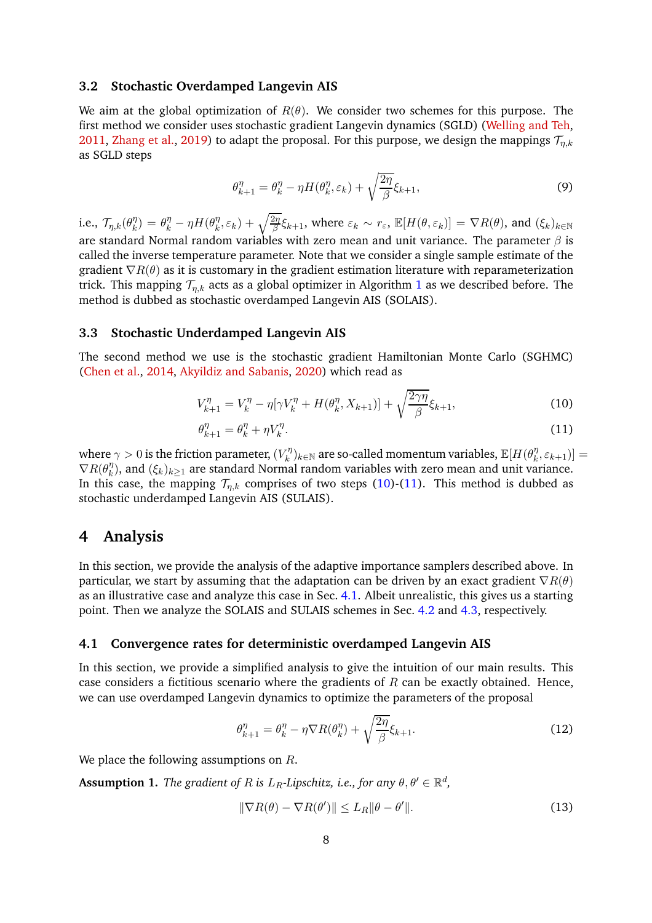### **3.2 Stochastic Overdamped Langevin AIS**

We aim at the global optimization of  $R(\theta)$ . We consider two schemes for this purpose. The first method we consider uses stochastic gradient Langevin dynamics (SGLD) [\(Welling and Teh](#page-15-1), [2011](#page-15-1), [Zhang et al.](#page-15-3), [2019](#page-15-3)) to adapt the proposal. For this purpose, we design the mappings  $\mathcal{T}_{n,k}$ as SGLD steps

<span id="page-7-6"></span>
$$
\theta_{k+1}^{\eta} = \theta_k^{\eta} - \eta H(\theta_k^{\eta}, \varepsilon_k) + \sqrt{\frac{2\eta}{\beta}} \xi_{k+1},\tag{9}
$$

i.e.,  $\mathcal{T}_{\eta,k}(\theta_k^{\eta})$  $\binom{\eta}{k} = \theta_k^{\eta} - \eta H(\theta_k^{\eta})$  $k(\theta_k^n, \varepsilon_k) + \sqrt{\frac{2\eta}{\beta}} \xi_{k+1}$ , where  $\varepsilon_k \sim r_\varepsilon$ ,  $\mathbb{E}[H(\theta, \varepsilon_k)] = \nabla R(\theta)$ , and  $(\xi_k)_{k \in \mathbb{N}}$ are standard Normal random variables with zero mean and unit variance. The parameter  $\beta$  is called the inverse temperature parameter. Note that we consider a single sample estimate of the gradient  $\nabla R(\theta)$  as it is customary in the gradient estimation literature with reparameterization trick. This mapping  $\mathcal{T}_{n,k}$  acts as a global optimizer in Algorithm [1](#page-4-0) as we described before. The method is dubbed as stochastic overdamped Langevin AIS (SOLAIS).

### **3.3 Stochastic Underdamped Langevin AIS**

The second method we use is the stochastic gradient Hamiltonian Monte Carlo (SGHMC) [\(Chen et al.,](#page-13-9) [2014](#page-13-9), [Akyildiz and Sabanis](#page-12-6), [2020\)](#page-12-6) which read as

$$
V_{k+1}^{\eta} = V_k^{\eta} - \eta[\gamma V_k^{\eta} + H(\theta_k^{\eta}, X_{k+1})] + \sqrt{\frac{2\gamma\eta}{\beta}} \xi_{k+1},
$$
\n(10)

<span id="page-7-2"></span><span id="page-7-1"></span>
$$
\theta_{k+1}^{\eta} = \theta_k^{\eta} + \eta V_k^{\eta}.\tag{11}
$$

where  $\gamma > 0$  is the friction parameter,  $(V_k^{\eta})$  $(\mathcal{K}^{\eta}_k)_{k\in\mathbb{N}}$  are so-called momentum variables,  $\mathbb{E}[H(\theta^{\eta}_k)]$  $\binom{n}{k}, \varepsilon_{k+1})] =$  $\nabla R(\theta_k^{\eta}$  $\binom{\eta}{k}$ , and  $(\xi_k)_{k\geq 1}$  are standard Normal random variables with zero mean and unit variance. In this case, the mapping  $\mathcal{T}_{n,k}$  comprises of two steps [\(10\)](#page-7-1)-[\(11\)](#page-7-2). This method is dubbed as stochastic underdamped Langevin AIS (SULAIS).

# <span id="page-7-0"></span>**4 Analysis**

In this section, we provide the analysis of the adaptive importance samplers described above. In particular, we start by assuming that the adaptation can be driven by an exact gradient  $\nabla R(\theta)$ as an illustrative case and analyze this case in Sec. [4.1.](#page-7-3) Albeit unrealistic, this gives us a starting point. Then we analyze the SOLAIS and SULAIS schemes in Sec. [4.2](#page-9-0) and [4.3,](#page-10-0) respectively.

### <span id="page-7-3"></span>**4.1 Convergence rates for deterministic overdamped Langevin AIS**

In this section, we provide a simplified analysis to give the intuition of our main results. This case considers a fictitious scenario where the gradients of  $R$  can be exactly obtained. Hence, we can use overdamped Langevin dynamics to optimize the parameters of the proposal

<span id="page-7-5"></span>
$$
\theta_{k+1}^{\eta} = \theta_k^{\eta} - \eta \nabla R(\theta_k^{\eta}) + \sqrt{\frac{2\eta}{\beta}} \xi_{k+1}.
$$
\n(12)

<span id="page-7-4"></span>We place the following assumptions on R.

**Assumption 1.** *The gradient of R is*  $L_R$ *-Lipschitz, i.e., for any*  $\theta, \theta' \in \mathbb{R}^d$ ,

$$
\|\nabla R(\theta) - \nabla R(\theta')\| \le L_R \|\theta - \theta'\|.
$$
\n(13)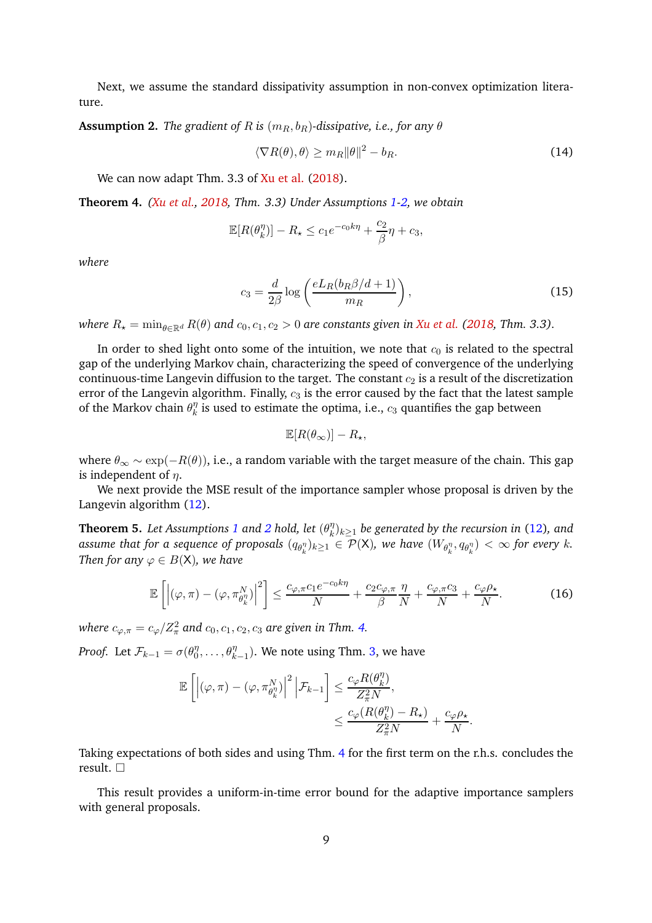<span id="page-8-0"></span>Next, we assume the standard dissipativity assumption in non-convex optimization literature.

#### **Assumption 2.** *The gradient of R is*  $(m_B, b_B)$ -dissipative, i.e., for any  $\theta$

$$
\langle \nabla R(\theta), \theta \rangle \ge m_R \|\theta\|^2 - b_R. \tag{14}
$$

<span id="page-8-1"></span>We can now adapt Thm. 3.3 of [Xu et al.](#page-15-2) [\(2018\)](#page-15-2).

**Theorem 4.** *[\(Xu et al.,](#page-15-2) [2018,](#page-15-2) Thm. 3.3) Under Assumptions [1](#page-7-4)[-2,](#page-8-0) we obtain*

$$
\mathbb{E}[R(\theta_k^{\eta})] - R_{\star} \le c_1 e^{-c_0 k \eta} + \frac{c_2}{\beta} \eta + c_3,
$$

*where*

$$
c_3 = \frac{d}{2\beta} \log \left( \frac{eL_R(b_R \beta/d + 1)}{m_R} \right),\tag{15}
$$

*where*  $R_{\star} = \min_{\theta \in \mathbb{R}^d} R(\theta)$  and  $c_0, c_1, c_2 > 0$  are constants given in [Xu et al.](#page-15-2) [\(2018,](#page-15-2) Thm. 3.3).

In order to shed light onto some of the intuition, we note that  $c_0$  is related to the spectral gap of the underlying Markov chain, characterizing the speed of convergence of the underlying continuous-time Langevin diffusion to the target. The constant  $c_2$  is a result of the discretization error of the Langevin algorithm. Finally,  $c_3$  is the error caused by the fact that the latest sample of the Markov chain  $\theta_k^{\eta}$  $\frac{\eta}{k}$  is used to estimate the optima, i.e.,  $c_3$  quantifies the gap between

$$
\mathbb{E}[R(\theta_\infty)] - R_\star,
$$

where  $\theta_{\infty} \sim \exp(-R(\theta))$ , i.e., a random variable with the target measure of the chain. This gap is independent of  $n$ .

<span id="page-8-2"></span>We next provide the MSE result of the importance sampler whose proposal is driven by the Langevin algorithm [\(12\)](#page-7-5).

**Theorem 5.** Let Assumptions [1](#page-7-4) and [2](#page-8-0) hold, let  $(\theta_k^n)$  $\binom{\eta}{k} _{k\geq 1}$  be generated by the recursion in [\(12\)](#page-7-5), and assume that for a sequence of proposals  $(q_{\theta_k^{\eta}})_{k\geq 1}\in \mathcal{P}(\mathsf{X})$ , we have  $(W_{\theta_k^{\eta}},q_{\theta_k^{\eta}})<\infty$  for every k. *Then for any*  $\varphi \in B(X)$ *, we have* 

$$
\mathbb{E}\left[\left|\left(\varphi,\pi\right)-\left(\varphi,\pi_{\theta_{k}^{\eta}}^{N}\right)\right|^{2}\right] \leq \frac{c_{\varphi,\pi}c_{1}e^{-c_{0}k\eta}}{N}+\frac{c_{2}c_{\varphi,\pi}}{\beta}\frac{\eta}{N}+\frac{c_{\varphi,\pi}c_{3}}{N}+\frac{c_{\varphi}\rho_{\star}}{N}.
$$
 (16)

<span id="page-8-3"></span>.

where  $c_{\varphi,\pi}=c_\varphi/Z_\pi^2$  and  $c_0,c_1,c_2,c_3$  are given in Thm. [4.](#page-8-1)

*Proof.* Let  $\mathcal{F}_{k-1} = \sigma(\theta_0^{\eta})$  $\theta_0^{\eta}, \ldots, \theta_{k-1}^{\eta}$ ). We note using Thm. [3,](#page-5-0) we have

$$
\begin{aligned} \mathbb{E}\left[\left|(\varphi,\pi)-(\varphi,\pi^N_{\theta^{\eta}_k})\right|^2\Big|\mathcal{F}_{k-1}\right] &\leq \frac{c_\varphi R(\theta^{\eta}_k)}{Z_{\pi}^2 N},\\ &\leq \frac{c_\varphi(R(\theta^{\eta}_k)-R_{\star})}{Z_{\pi}^2 N}+\frac{c_\varphi \rho_{\star}}{N} \end{aligned}
$$

Taking expectations of both sides and using Thm. [4](#page-8-1) for the first term on the r.h.s. concludes the result.

This result provides a uniform-in-time error bound for the adaptive importance samplers with general proposals.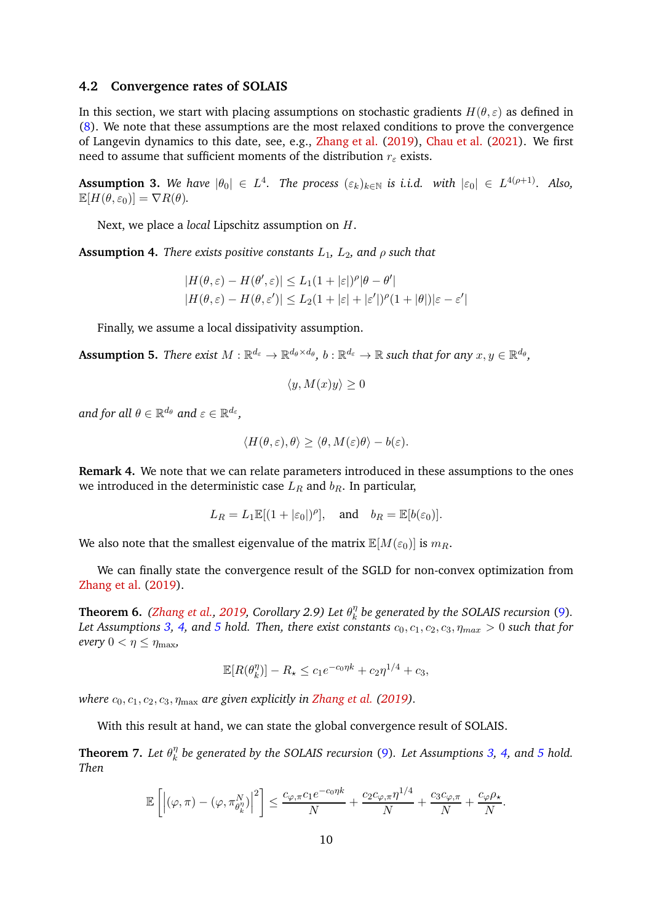#### <span id="page-9-0"></span>**4.2 Convergence rates of SOLAIS**

In this section, we start with placing assumptions on stochastic gradients  $H(\theta, \varepsilon)$  as defined in [\(8\)](#page-6-2). We note that these assumptions are the most relaxed conditions to prove the convergence of Langevin dynamics to this date, see, e.g., [Zhang et al.](#page-15-3) [\(2019\)](#page-15-3), [Chau et al.](#page-13-15) [\(2021](#page-13-15)). We first need to assume that sufficient moments of the distribution  $r_{\varepsilon}$  exists.

<span id="page-9-1"></span>**Assumption 3.** We have  $|\theta_0| \in L^4$ . The process  $(\varepsilon_k)_{k \in \mathbb{N}}$  is i.i.d. with  $|\varepsilon_0| \in L^{4(\rho+1)}$ . Also,  $\mathbb{E}[H(\theta,\varepsilon_0)] = \nabla R(\theta).$ 

<span id="page-9-2"></span>Next, we place a *local* Lipschitz assumption on H.

**Assumption 4.** *There exists positive constants*  $L_1$ *,*  $L_2$ *, and*  $\rho$  *such that* 

$$
|H(\theta,\varepsilon) - H(\theta',\varepsilon)| \le L_1(1+|\varepsilon|)^{\rho} |\theta - \theta'|
$$
  

$$
|H(\theta,\varepsilon) - H(\theta,\varepsilon')| \le L_2(1+|\varepsilon|+|\varepsilon'|)^{\rho} (1+|\theta|)|\varepsilon - \varepsilon'|
$$

<span id="page-9-3"></span>Finally, we assume a local dissipativity assumption.

 ${\bf Assumption~5.}$  *There exist*  $M:\mathbb{R}^{d_{\varepsilon}}\to\mathbb{R}^{d_{\theta}\times d_{\theta}},$  $b:\mathbb{R}^{d_{\varepsilon}}\to\mathbb{R}$  *such that for any*  $x,y\in\mathbb{R}^{d_{\theta}},$ 

$$
\langle y, M(x)y \rangle \ge 0
$$

and for all  $\theta \in \mathbb{R}^{d_{\theta}}$  and  $\varepsilon \in \mathbb{R}^{d_{\varepsilon}},$ 

$$
\langle H(\theta,\varepsilon),\theta\rangle \geq \langle \theta,M(\varepsilon)\theta\rangle - b(\varepsilon).
$$

**Remark 4.** We note that we can relate parameters introduced in these assumptions to the ones we introduced in the deterministic case  $L_R$  and  $b_R$ . In particular,

$$
L_R = L_1 \mathbb{E}[(1 + |\varepsilon_0|)^{\rho}],
$$
 and  $b_R = \mathbb{E}[b(\varepsilon_0)].$ 

We also note that the smallest eigenvalue of the matrix  $\mathbb{E}[M(\varepsilon_0)]$  is  $m_R$ .

<span id="page-9-4"></span>We can finally state the convergence result of the SGLD for non-convex optimization from [Zhang et al.](#page-15-3) [\(2019\)](#page-15-3).

**Theorem 6.** *[\(Zhang et al.](#page-15-3), [2019,](#page-15-3) Corollary 2.9) Let*  $\theta_k^{\eta}$  $\frac{\eta}{k}$  be generated by the SOLAIS recursion [\(9\)](#page-7-6). *Let Assumptions* [3,](#page-9-1) [4,](#page-9-2) and [5](#page-9-3) hold. Then, there exist constants  $c_0, c_1, c_2, c_3, \eta_{max} > 0$  such that for *every*  $0 < \eta \leq \eta_{\text{max}}$ *,* 

$$
\mathbb{E}[R(\theta_k^{\eta})] - R_{\star} \le c_1 e^{-c_0 \eta k} + c_2 \eta^{1/4} + c_3,
$$

*where*  $c_0$ ,  $c_1$ ,  $c_2$ ,  $c_3$ ,  $\eta_{\text{max}}$  *are given explicitly in [Zhang et al.](#page-15-3)* [\(2019](#page-15-3)).

<span id="page-9-5"></span>With this result at hand, we can state the global convergence result of SOLAIS.

**Theorem 7.** Let  $\theta_k^{\eta}$ k *be generated by the SOLAIS recursion* [\(9\)](#page-7-6)*. Let Assumptions [3,](#page-9-1) [4,](#page-9-2) and [5](#page-9-3) hold. Then*

$$
\mathbb{E}\left[\left|(\varphi,\pi)-(\varphi,\pi_{\theta_k^{\eta}}^N)\right|^2\right] \leq \frac{c_{\varphi,\pi}c_1e^{-c_0\eta k}}{N}+\frac{c_2c_{\varphi,\pi}\eta^{1/4}}{N}+\frac{c_3c_{\varphi,\pi}}{N}+\frac{c_{\varphi}\rho_{\star}}{N}.
$$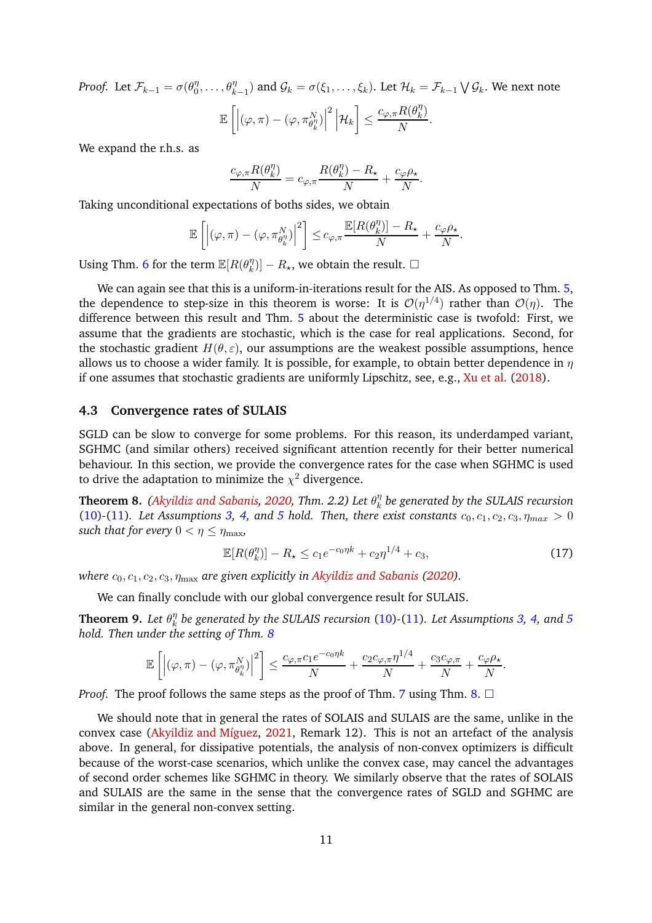*Proof.* Let  $\mathcal{F}_{k-1} = \sigma(\theta_0^{\eta})$  $\theta_0^{\eta},\ldots,\theta_{k-1}^{\eta}$ ) and  $\mathcal{G}_k=\sigma(\xi_1,\ldots,\xi_k)$ . Let  $\mathcal{H}_k=\mathcal{F}_{k-1}\bigvee\mathcal{G}_k$ . We next note  $\mathbb{E}\left[\left|(\varphi,\pi)-(\varphi,\pi_{\theta_{k}^{\eta}}^{N})\right|\right.$  $^{2}\left| \mathcal{H}_{k}\right.$ 1 ≤  $c_{\varphi,\pi}R(\theta_k^{\eta})$  $\binom{\eta}{k}$  $\frac{N}{N}$ .

We expand the r.h.s. as

$$
\frac{c_{\varphi,\pi}R(\theta_k^{\eta})}{N}=c_{\varphi,\pi}\frac{R(\theta_k^{\eta})-R_{\star}}{N}+\frac{c_{\varphi}\rho_{\star}}{N}.
$$

Taking unconditional expectations of boths sides, we obtain

$$
\mathbb{E}\left[\left|\left(\varphi,\pi\right)-\left(\varphi,\pi_{\theta_{k}^{\eta}}^{N}\right)\right|^{2}\right]\leq c_{\varphi,\pi}\frac{\mathbb{E}[R(\theta_{k}^{\eta})]-R_{\star}}{N}+\frac{c_{\varphi}\rho_{\star}}{N}.
$$

Using Thm. [6](#page-9-4) for the term  $\mathbb{E}[R(\theta_k^n)]$  ${k \choose k}$   $- R_{\star}$ , we obtain the result.  $\square$ 

We can again see that this is a uniform-in-iterations result for the AIS. As opposed to Thm. [5,](#page-8-2) the dependence to step-size in this theorem is worse: It is  $\mathcal{O}(\eta^{1/4})$  rather than  $\mathcal{O}(\eta)$ . The difference between this result and Thm. [5](#page-8-2) about the deterministic case is twofold: First, we assume that the gradients are stochastic, which is the case for real applications. Second, for the stochastic gradient  $H(\theta, \varepsilon)$ , our assumptions are the weakest possible assumptions, hence allows us to choose a wider family. It is possible, for example, to obtain better dependence in  $\eta$ if one assumes that stochastic gradients are uniformly Lipschitz, see, e.g., [Xu et al.](#page-15-2) [\(2018\)](#page-15-2).

### <span id="page-10-0"></span>**4.3 Convergence rates of SULAIS**

SGLD can be slow to converge for some problems. For this reason, its underdamped variant, SGHMC (and similar others) received significant attention recently for their better numerical behaviour. In this section, we provide the convergence rates for the case when SGHMC is used to drive the adaptation to minimize the  $\chi^2$  divergence.

<span id="page-10-1"></span>**Theorem 8.** *[\(Akyildiz and Sabanis,](#page-12-6) [2020](#page-12-6), Thm. 2.2) Let* θ η  $\frac{\eta}{k}$  be generated by the SULAIS recursion [\(10\)](#page-7-1)<sup>-</sup>[\(11\)](#page-7-2)*.* Let Assumptions [3,](#page-9-1) [4,](#page-9-2) and [5](#page-9-3) hold. Then, there exist constants  $c_0, c_1, c_2, c_3, \eta_{max} > 0$ *such that for every*  $0 < \eta \leq \eta_{\text{max}}$ ,

$$
\mathbb{E}[R(\theta_k^{\eta})] - R_{\star} \le c_1 e^{-c_0 \eta k} + c_2 \eta^{1/4} + c_3,\tag{17}
$$

*where*  $c_0$ ,  $c_1$ ,  $c_2$ ,  $c_3$ ,  $\eta_{\text{max}}$  *are given explicitly in [Akyildiz and Sabanis](#page-12-6)* [\(2020\)](#page-12-6).

<span id="page-10-2"></span>We can finally conclude with our global convergence result for SULAIS.

**Theorem 9.** Let  $\theta_k^{\eta}$ k *be generated by the SULAIS recursion* [\(10\)](#page-7-1)*-*[\(11\)](#page-7-2)*. Let Assumptions [3,](#page-9-1) [4,](#page-9-2) and [5](#page-9-3) hold. Then under the setting of Thm. [8](#page-10-1)*

$$
\mathbb{E}\left[\left|\left(\varphi,\pi\right)-\left(\varphi,\pi_{\theta_{k}^{n}}^{N}\right)\right|^{2}\right] \leq \frac{c_{\varphi,\pi}c_{1}e^{-c_{0}\eta k}}{N}+\frac{c_{2}c_{\varphi,\pi}\eta^{1/4}}{N}+\frac{c_{3}c_{\varphi,\pi}}{N}+\frac{c_{\varphi}\rho_{\star}}{N}.
$$

*Proof.* The proof follows the same steps as the proof of Thm. [7](#page-9-5) using Thm. [8.](#page-10-1)  $\Box$ 

We should note that in general the rates of SOLAIS and SULAIS are the same, unlike in the convex case [\(Akyildiz and Míguez](#page-12-3), [2021,](#page-12-3) Remark 12). This is not an artefact of the analysis above. In general, for dissipative potentials, the analysis of non-convex optimizers is difficult because of the worst-case scenarios, which unlike the convex case, may cancel the advantages of second order schemes like SGHMC in theory. We similarly observe that the rates of SOLAIS and SULAIS are the same in the sense that the convergence rates of SGLD and SGHMC are similar in the general non-convex setting.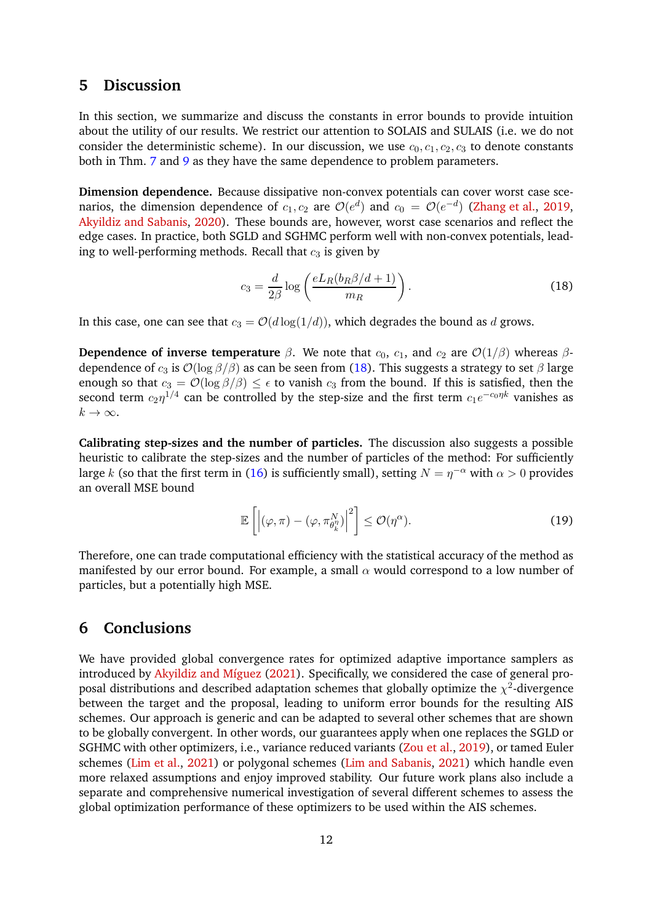### <span id="page-11-0"></span>**5 Discussion**

In this section, we summarize and discuss the constants in error bounds to provide intuition about the utility of our results. We restrict our attention to SOLAIS and SULAIS (i.e. we do not consider the deterministic scheme). In our discussion, we use  $c_0$ ,  $c_1$ ,  $c_2$ ,  $c_3$  to denote constants both in Thm. [7](#page-9-5) and [9](#page-10-2) as they have the same dependence to problem parameters.

**Dimension dependence.** Because dissipative non-convex potentials can cover worst case scenarios, the dimension dependence of  $c_1, c_2$  are  $\mathcal{O}(e^d)$  and  $c_0 = \mathcal{O}(e^{-d})$  [\(Zhang et al.,](#page-15-3) [2019](#page-15-3), [Akyildiz and Sabanis](#page-12-6), [2020\)](#page-12-6). These bounds are, however, worst case scenarios and reflect the edge cases. In practice, both SGLD and SGHMC perform well with non-convex potentials, leading to well-performing methods. Recall that  $c_3$  is given by

<span id="page-11-2"></span>
$$
c_3 = \frac{d}{2\beta} \log \left( \frac{eL_R(b_R \beta/d + 1)}{m_R} \right). \tag{18}
$$

In this case, one can see that  $c_3 = \mathcal{O}(d \log(1/d))$ , which degrades the bound as d grows.

**Dependence of inverse temperature**  $\beta$ . We note that  $c_0$ ,  $c_1$ , and  $c_2$  are  $\mathcal{O}(1/\beta)$  whereas  $\beta$ dependence of  $c_3$  is  $\mathcal{O}(\log \beta/\beta)$  as can be seen from [\(18\)](#page-11-2). This suggests a strategy to set  $\beta$  large enough so that  $c_3 = \mathcal{O}(\log \beta/\beta) \leq \epsilon$  to vanish  $c_3$  from the bound. If this is satisfied, then the second term  $c_2\eta^{1/4}$  can be controlled by the step-size and the first term  $c_1e^{-c_0\eta k}$  vanishes as  $k \to \infty$ .

**Calibrating step-sizes and the number of particles.** The discussion also suggests a possible heuristic to calibrate the step-sizes and the number of particles of the method: For sufficiently large k (so that the first term in [\(16\)](#page-8-3) is sufficiently small), setting  $N = \eta^{-\alpha}$  with  $\alpha > 0$  provides an overall MSE bound

$$
\mathbb{E}\left[\left|(\varphi,\pi)-(\varphi,\pi_{\theta_k^{\eta}}^N)\right|^2\right] \leq \mathcal{O}(\eta^{\alpha}).\tag{19}
$$

Therefore, one can trade computational efficiency with the statistical accuracy of the method as manifested by our error bound. For example, a small  $\alpha$  would correspond to a low number of particles, but a potentially high MSE.

### <span id="page-11-1"></span>**6 Conclusions**

We have provided global convergence rates for optimized adaptive importance samplers as introduced by [Akyildiz and Míguez](#page-12-3) [\(2021](#page-12-3)). Specifically, we considered the case of general proposal distributions and described adaptation schemes that globally optimize the  $\chi^2$ -divergence between the target and the proposal, leading to uniform error bounds for the resulting AIS schemes. Our approach is generic and can be adapted to several other schemes that are shown to be globally convergent. In other words, our guarantees apply when one replaces the SGLD or SGHMC with other optimizers, i.e., variance reduced variants [\(Zou et al.](#page-15-4), [2019](#page-15-4)), or tamed Euler schemes [\(Lim et al.](#page-14-9), [2021](#page-14-9)) or polygonal schemes [\(Lim and Sabanis,](#page-14-8) [2021\)](#page-14-8) which handle even more relaxed assumptions and enjoy improved stability. Our future work plans also include a separate and comprehensive numerical investigation of several different schemes to assess the global optimization performance of these optimizers to be used within the AIS schemes.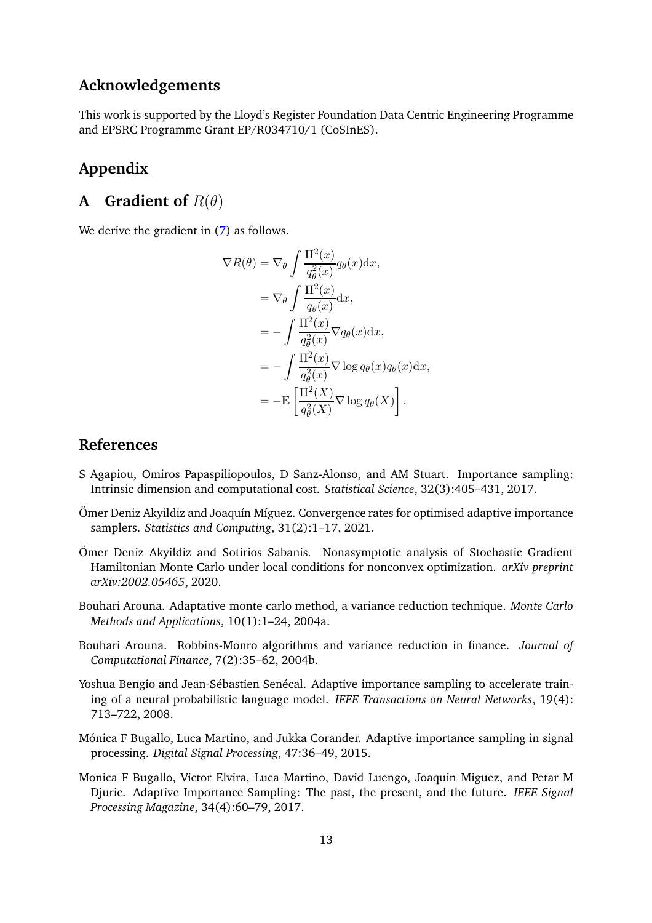# **Acknowledgements**

This work is supported by the Lloyd's Register Foundation Data Centric Engineering Programme and EPSRC Programme Grant EP/R034710/1 (CoSInES).

# <span id="page-12-8"></span>**Appendix**

# **A Gradient of** R(θ)

We derive the gradient in  $(7)$  as follows.

$$
\nabla R(\theta) = \nabla_{\theta} \int \frac{\Pi^{2}(x)}{q_{\theta}^{2}(x)} q_{\theta}(x) dx,
$$
  
\n
$$
= \nabla_{\theta} \int \frac{\Pi^{2}(x)}{q_{\theta}(x)} dx,
$$
  
\n
$$
= - \int \frac{\Pi^{2}(x)}{q_{\theta}^{2}(x)} \nabla q_{\theta}(x) dx,
$$
  
\n
$$
= - \int \frac{\Pi^{2}(x)}{q_{\theta}^{2}(x)} \nabla \log q_{\theta}(x) q_{\theta}(x) dx,
$$
  
\n
$$
= - \mathbb{E} \left[ \frac{\Pi^{2}(X)}{q_{\theta}^{2}(X)} \nabla \log q_{\theta}(X) \right].
$$

### **References**

- <span id="page-12-7"></span>S Agapiou, Omiros Papaspiliopoulos, D Sanz-Alonso, and AM Stuart. Importance sampling: Intrinsic dimension and computational cost. *Statistical Science*, 32(3):405–431, 2017.
- <span id="page-12-3"></span>Ömer Deniz Akyildiz and Joaquín Míguez. Convergence rates for optimised adaptive importance samplers. *Statistics and Computing*, 31(2):1–17, 2021.
- <span id="page-12-6"></span>Ömer Deniz Akyildiz and Sotirios Sabanis. Nonasymptotic analysis of Stochastic Gradient Hamiltonian Monte Carlo under local conditions for nonconvex optimization. *arXiv preprint arXiv:2002.05465*, 2020.
- <span id="page-12-4"></span>Bouhari Arouna. Adaptative monte carlo method, a variance reduction technique. *Monte Carlo Methods and Applications*, 10(1):1–24, 2004a.
- <span id="page-12-5"></span>Bouhari Arouna. Robbins-Monro algorithms and variance reduction in finance. *Journal of Computational Finance*, 7(2):35–62, 2004b.
- <span id="page-12-0"></span>Yoshua Bengio and Jean-Sébastien Senécal. Adaptive importance sampling to accelerate training of a neural probabilistic language model. *IEEE Transactions on Neural Networks*, 19(4): 713–722, 2008.
- <span id="page-12-1"></span>Mónica F Bugallo, Luca Martino, and Jukka Corander. Adaptive importance sampling in signal processing. *Digital Signal Processing*, 47:36–49, 2015.
- <span id="page-12-2"></span>Monica F Bugallo, Victor Elvira, Luca Martino, David Luengo, Joaquin Miguez, and Petar M Djuric. Adaptive Importance Sampling: The past, the present, and the future. *IEEE Signal Processing Magazine*, 34(4):60–79, 2017.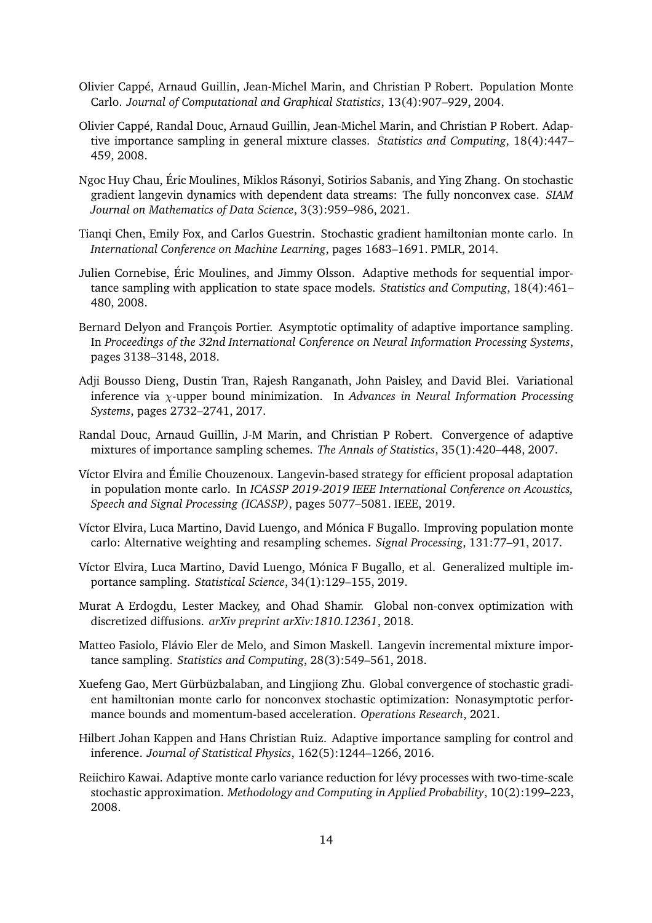- <span id="page-13-3"></span>Olivier Cappé, Arnaud Guillin, Jean-Michel Marin, and Christian P Robert. Population Monte Carlo. *Journal of Computational and Graphical Statistics*, 13(4):907–929, 2004.
- <span id="page-13-4"></span>Olivier Cappé, Randal Douc, Arnaud Guillin, Jean-Michel Marin, and Christian P Robert. Adaptive importance sampling in general mixture classes. *Statistics and Computing*, 18(4):447– 459, 2008.
- <span id="page-13-15"></span>Ngoc Huy Chau, Éric Moulines, Miklos Rásonyi, Sotirios Sabanis, and Ying Zhang. On stochastic gradient langevin dynamics with dependent data streams: The fully nonconvex case. *SIAM Journal on Mathematics of Data Science*, 3(3):959–986, 2021.
- <span id="page-13-9"></span>Tianqi Chen, Emily Fox, and Carlos Guestrin. Stochastic gradient hamiltonian monte carlo. In *International Conference on Machine Learning*, pages 1683–1691. PMLR, 2014.
- <span id="page-13-7"></span>Julien Cornebise, Éric Moulines, and Jimmy Olsson. Adaptive methods for sequential importance sampling with application to state space models. *Statistics and Computing*, 18(4):461– 480, 2008.
- <span id="page-13-8"></span>Bernard Delyon and François Portier. Asymptotic optimality of adaptive importance sampling. In *Proceedings of the 32nd International Conference on Neural Information Processing Systems*, pages 3138–3148, 2018.
- <span id="page-13-14"></span>Adji Bousso Dieng, Dustin Tran, Rajesh Ranganath, John Paisley, and David Blei. Variational inference via χ-upper bound minimization. In *Advances in Neural Information Processing Systems*, pages 2732–2741, 2017.
- <span id="page-13-5"></span>Randal Douc, Arnaud Guillin, J-M Marin, and Christian P Robert. Convergence of adaptive mixtures of importance sampling schemes. *The Annals of Statistics*, 35(1):420–448, 2007.
- <span id="page-13-13"></span>Víctor Elvira and Émilie Chouzenoux. Langevin-based strategy for efficient proposal adaptation in population monte carlo. In *ICASSP 2019-2019 IEEE International Conference on Acoustics, Speech and Signal Processing (ICASSP)*, pages 5077–5081. IEEE, 2019.
- <span id="page-13-1"></span>Víctor Elvira, Luca Martino, David Luengo, and Mónica F Bugallo. Improving population monte carlo: Alternative weighting and resampling schemes. *Signal Processing*, 131:77–91, 2017.
- <span id="page-13-2"></span>Víctor Elvira, Luca Martino, David Luengo, Mónica F Bugallo, et al. Generalized multiple importance sampling. *Statistical Science*, 34(1):129–155, 2019.
- <span id="page-13-10"></span>Murat A Erdogdu, Lester Mackey, and Ohad Shamir. Global non-convex optimization with discretized diffusions. *arXiv preprint arXiv:1810.12361*, 2018.
- <span id="page-13-12"></span>Matteo Fasiolo, Flávio Eler de Melo, and Simon Maskell. Langevin incremental mixture importance sampling. *Statistics and Computing*, 28(3):549–561, 2018.
- <span id="page-13-11"></span>Xuefeng Gao, Mert Gürbüzbalaban, and Lingjiong Zhu. Global convergence of stochastic gradient hamiltonian monte carlo for nonconvex stochastic optimization: Nonasymptotic performance bounds and momentum-based acceleration. *Operations Research*, 2021.
- <span id="page-13-0"></span>Hilbert Johan Kappen and Hans Christian Ruiz. Adaptive importance sampling for control and inference. *Journal of Statistical Physics*, 162(5):1244–1266, 2016.
- <span id="page-13-6"></span>Reiichiro Kawai. Adaptive monte carlo variance reduction for lévy processes with two-time-scale stochastic approximation. *Methodology and Computing in Applied Probability*, 10(2):199–223, 2008.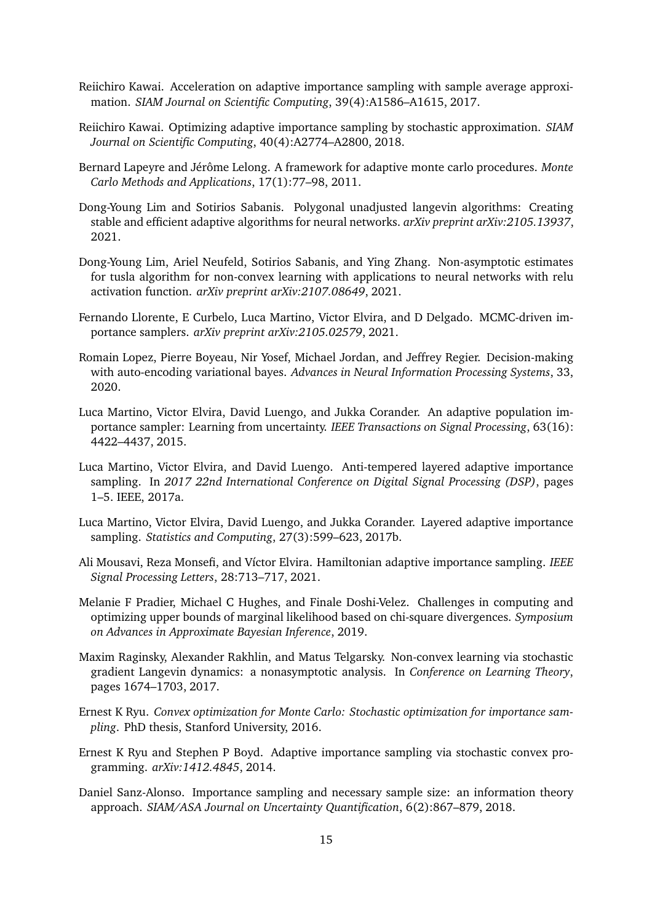- <span id="page-14-4"></span>Reiichiro Kawai. Acceleration on adaptive importance sampling with sample average approximation. *SIAM Journal on Scientific Computing*, 39(4):A1586–A1615, 2017.
- <span id="page-14-5"></span>Reiichiro Kawai. Optimizing adaptive importance sampling by stochastic approximation. *SIAM Journal on Scientific Computing*, 40(4):A2774–A2800, 2018.
- <span id="page-14-2"></span>Bernard Lapeyre and Jérôme Lelong. A framework for adaptive monte carlo procedures. *Monte Carlo Methods and Applications*, 17(1):77–98, 2011.
- <span id="page-14-8"></span>Dong-Young Lim and Sotirios Sabanis. Polygonal unadjusted langevin algorithms: Creating stable and efficient adaptive algorithms for neural networks. *arXiv preprint arXiv:2105.13937*, 2021.
- <span id="page-14-9"></span>Dong-Young Lim, Ariel Neufeld, Sotirios Sabanis, and Ying Zhang. Non-asymptotic estimates for tusla algorithm for non-convex learning with applications to neural networks with relu activation function. *arXiv preprint arXiv:2107.08649*, 2021.
- <span id="page-14-12"></span>Fernando Llorente, E Curbelo, Luca Martino, Victor Elvira, and D Delgado. MCMC-driven importance samplers. *arXiv preprint arXiv:2105.02579*, 2021.
- <span id="page-14-14"></span>Romain Lopez, Pierre Boyeau, Nir Yosef, Michael Jordan, and Jeffrey Regier. Decision-making with auto-encoding variational bayes. *Advances in Neural Information Processing Systems*, 33, 2020.
- <span id="page-14-0"></span>Luca Martino, Victor Elvira, David Luengo, and Jukka Corander. An adaptive population importance sampler: Learning from uncertainty. *IEEE Transactions on Signal Processing*, 63(16): 4422–4437, 2015.
- <span id="page-14-11"></span>Luca Martino, Victor Elvira, and David Luengo. Anti-tempered layered adaptive importance sampling. In *2017 22nd International Conference on Digital Signal Processing (DSP)*, pages 1–5. IEEE, 2017a.
- <span id="page-14-1"></span>Luca Martino, Victor Elvira, David Luengo, and Jukka Corander. Layered adaptive importance sampling. *Statistics and Computing*, 27(3):599–623, 2017b.
- <span id="page-14-10"></span>Ali Mousavi, Reza Monsefi, and Víctor Elvira. Hamiltonian adaptive importance sampling. *IEEE Signal Processing Letters*, 28:713–717, 2021.
- <span id="page-14-15"></span>Melanie F Pradier, Michael C Hughes, and Finale Doshi-Velez. Challenges in computing and optimizing upper bounds of marginal likelihood based on chi-square divergences. *Symposium on Advances in Approximate Bayesian Inference*, 2019.
- <span id="page-14-7"></span>Maxim Raginsky, Alexander Rakhlin, and Matus Telgarsky. Non-convex learning via stochastic gradient Langevin dynamics: a nonasymptotic analysis. In *Conference on Learning Theory*, pages 1674–1703, 2017.
- <span id="page-14-13"></span>Ernest K Ryu. *Convex optimization for Monte Carlo: Stochastic optimization for importance sampling*. PhD thesis, Stanford University, 2016.
- <span id="page-14-3"></span>Ernest K Ryu and Stephen P Boyd. Adaptive importance sampling via stochastic convex programming. *arXiv:1412.4845*, 2014.
- <span id="page-14-6"></span>Daniel Sanz-Alonso. Importance sampling and necessary sample size: an information theory approach. *SIAM/ASA Journal on Uncertainty Quantification*, 6(2):867–879, 2018.